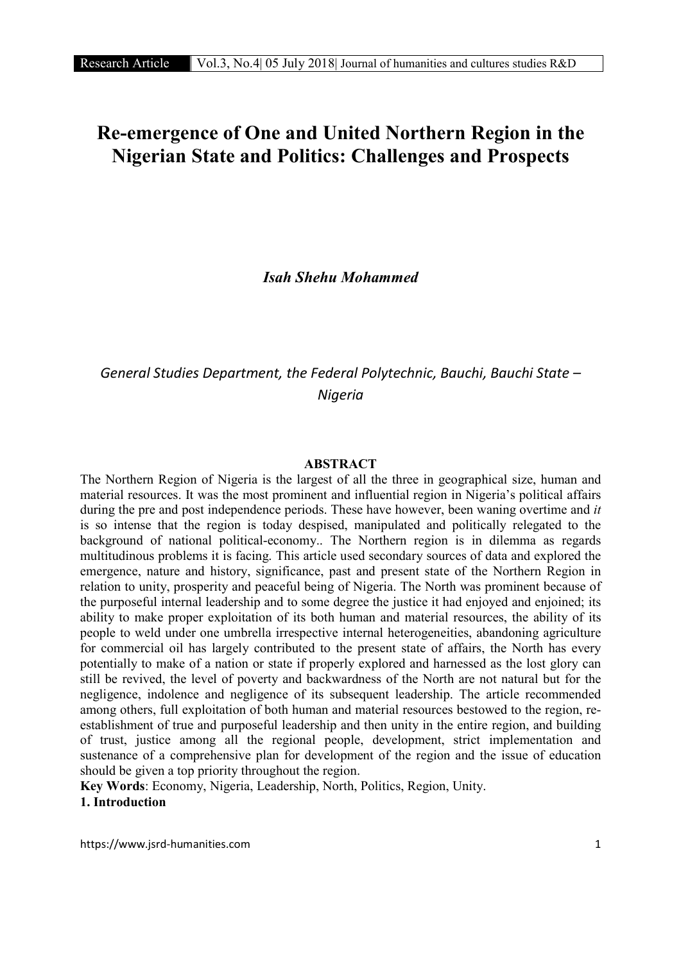# Re-emergence of One and United Northern Region in the Nigerian State and Politics: Challenges and Prospects

*Isah Shehu Mohammed*

## *General Studies Department, the Federal Polytechnic, Bauchi, Bauchi State – Nigeria*

#### ABSTRACT

The Northern Region of Nigeria is the largest of all the three in geographical size, human and material resources. It was the most prominent and influential region in Nigeria's political affairs during the pre and post independence periods. These have however, been waning overtime and *it* is so intense that the region is today despised, manipulated and politically relegated to the background of national political-economy.. The Northern region is in dilemma as regards multitudinous problems it is facing. This article used secondary sources of data and explored the emergence, nature and history, significance, past and present state of the Northern Region in relation to unity, prosperity and peaceful being of Nigeria. The North was prominent because of the purposeful internal leadership and to some degree the justice it had enjoyed and enjoined; its ability to make proper exploitation of its both human and material resources, the ability of its people to weld under one umbrella irrespective internal heterogeneities, abandoning agriculture for commercial oil has largely contributed to the present state of affairs, the North has every potentially to make of a nation or state if properly explored and harnessed as the lost glory can still be revived, the level of poverty and backwardness of the North are not natural but for the negligence, indolence and negligence of its subsequent leadership. The article recommended among others, full exploitation of both human and material resources bestowed to the region, reestablishment of true and purposeful leadership and then unity in the entire region, and building of trust, justice among all the regional people, development, strict implementation and sustenance of a comprehensive plan for development of the region and the issue of education should be given a top priority throughout the region.

Key Words: Economy, Nigeria, Leadership, North, Politics, Region, Unity. 1. Introduction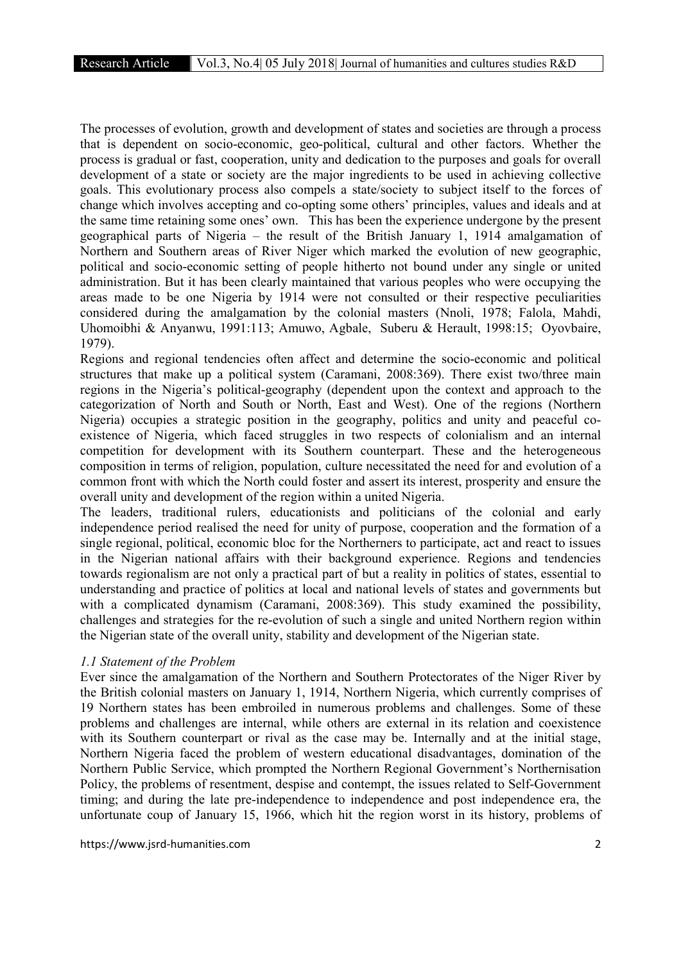The processes of evolution, growth and development of states and societies are through a process that is dependent on socio-economic, geo-political, cultural and other factors. Whether the process is gradual or fast, cooperation, unity and dedication to the purposes and goals for overall development of a state or society are the major ingredients to be used in achieving collective goals. This evolutionary process also compels a state/society to subject itself to the forces of change which involves accepting and co-opting some others' principles, values and ideals and at the same time retaining some ones' own. This has been the experience undergone by the present geographical parts of Nigeria – the result of the British January 1, 1914 amalgamation of Northern and Southern areas of River Niger which marked the evolution of new geographic, political and socio-economic setting of people hitherto not bound under any single or united administration. But it has been clearly maintained that various peoples who were occupying the areas made to be one Nigeria by 1914 were not consulted or their respective peculiarities considered during the amalgamation by the colonial masters (Nnoli, 1978; Falola, Mahdi, Uhomoibhi & Anyanwu, 1991:113; Amuwo, Agbale, Suberu & Herault, 1998:15; Oyovbaire, 1979).

Regions and regional tendencies often affect and determine the socio-economic and political structures that make up a political system (Caramani, 2008:369). There exist two/three main regions in the Nigeria's political-geography (dependent upon the context and approach to the categorization of North and South or North, East and West). One of the regions (Northern Nigeria) occupies a strategic position in the geography, politics and unity and peaceful coexistence of Nigeria, which faced struggles in two respects of colonialism and an internal competition for development with its Southern counterpart. These and the heterogeneous composition in terms of religion, population, culture necessitated the need for and evolution of a common front with which the North could foster and assert its interest, prosperity and ensure the overall unity and development of the region within a united Nigeria.

The leaders, traditional rulers, educationists and politicians of the colonial and early independence period realised the need for unity of purpose, cooperation and the formation of a single regional, political, economic bloc for the Northerners to participate, act and react to issues in the Nigerian national affairs with their background experience. Regions and tendencies towards regionalism are not only a practical part of but a reality in politics of states, essential to understanding and practice of politics at local and national levels of states and governments but with a complicated dynamism (Caramani, 2008:369). This study examined the possibility, challenges and strategies for the re-evolution of such a single and united Northern region within the Nigerian state of the overall unity, stability and development of the Nigerian state.

## *1.1 Statement of the Problem*

Ever since the amalgamation of the Northern and Southern Protectorates of the Niger River by the British colonial masters on January 1, 1914, Northern Nigeria, which currently comprises of 19 Northern states has been embroiled in numerous problems and challenges. Some of these problems and challenges are internal, while others are external in its relation and coexistence with its Southern counterpart or rival as the case may be. Internally and at the initial stage, Northern Nigeria faced the problem of western educational disadvantages, domination of the Northern Public Service, which prompted the Northern Regional Government's Northernisation Policy, the problems of resentment, despise and contempt, the issues related to Self-Government timing; and during the late pre-independence to independence and post independence era, the unfortunate coup of January 15, 1966, which hit the region worst in its history, problems of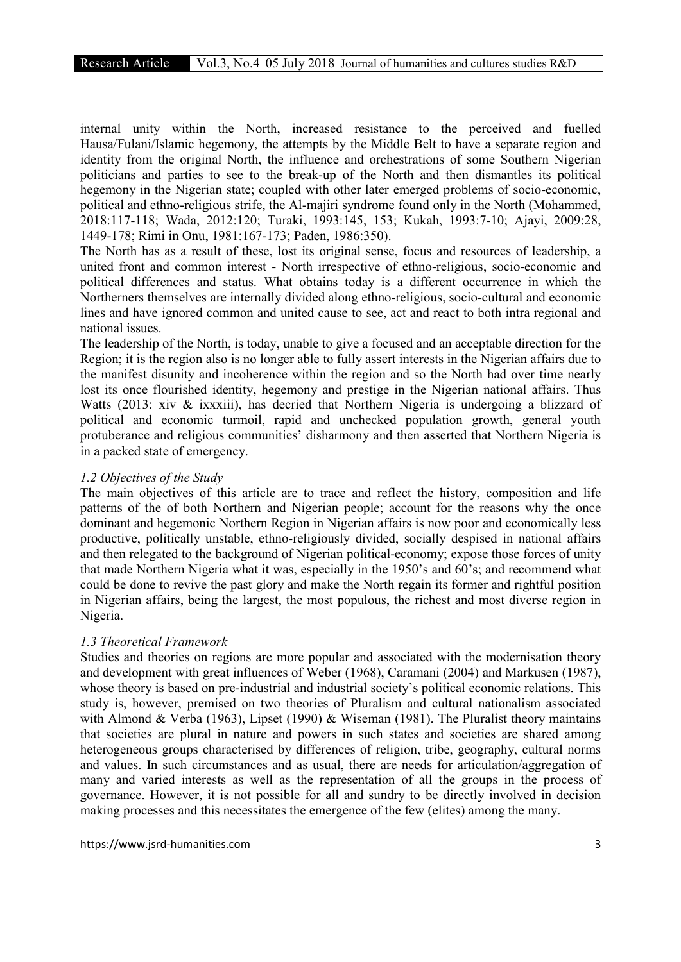internal unity within the North, increased resistance to the perceived and fuelled Hausa/Fulani/Islamic hegemony, the attempts by the Middle Belt to have a separate region and identity from the original North, the influence and orchestrations of some Southern Nigerian politicians and parties to see to the break-up of the North and then dismantles its political hegemony in the Nigerian state; coupled with other later emerged problems of socio-economic, political and ethno-religious strife, the Al-majiri syndrome found only in the North (Mohammed, 2018:117-118; Wada, 2012:120; Turaki, 1993:145, 153; Kukah, 1993:7-10; Ajayi, 2009:28, 1449-178; Rimi in Onu, 1981:167-173; Paden, 1986:350).

The North has as a result of these, lost its original sense, focus and resources of leadership, a united front and common interest - North irrespective of ethno-religious, socio-economic and political differences and status. What obtains today is a different occurrence in which the Northerners themselves are internally divided along ethno-religious, socio-cultural and economic lines and have ignored common and united cause to see, act and react to both intra regional and national issues.

The leadership of the North, is today, unable to give a focused and an acceptable direction for the Region; it is the region also is no longer able to fully assert interests in the Nigerian affairs due to the manifest disunity and incoherence within the region and so the North had over time nearly lost its once flourished identity, hegemony and prestige in the Nigerian national affairs. Thus Watts (2013: xiv & ixxxiii), has decried that Northern Nigeria is undergoing a blizzard of political and economic turmoil, rapid and unchecked population growth, general youth protuberance and religious communities' disharmony and then asserted that Northern Nigeria is in a packed state of emergency.

## *1.2 Objectives of the Study*

The main objectives of this article are to trace and reflect the history, composition and life patterns of the of both Northern and Nigerian people; account for the reasons why the once dominant and hegemonic Northern Region in Nigerian affairs is now poor and economically less productive, politically unstable, ethno-religiously divided, socially despised in national affairs and then relegated to the background of Nigerian political-economy; expose those forces of unity that made Northern Nigeria what it was, especially in the 1950's and 60's; and recommend what could be done to revive the past glory and make the North regain its former and rightful position in Nigerian affairs, being the largest, the most populous, the richest and most diverse region in Nigeria.

## *1.3 Theoretical Framework*

Studies and theories on regions are more popular and associated with the modernisation theory and development with great influences of Weber (1968), Caramani (2004) and Markusen (1987), whose theory is based on pre-industrial and industrial society's political economic relations. This study is, however, premised on two theories of Pluralism and cultural nationalism associated with Almond & Verba (1963), Lipset (1990) & Wiseman (1981). The Pluralist theory maintains that societies are plural in nature and powers in such states and societies are shared among heterogeneous groups characterised by differences of religion, tribe, geography, cultural norms and values. In such circumstances and as usual, there are needs for articulation/aggregation of many and varied interests as well as the representation of all the groups in the process of governance. However, it is not possible for all and sundry to be directly involved in decision making processes and this necessitates the emergence of the few (elites) among the many.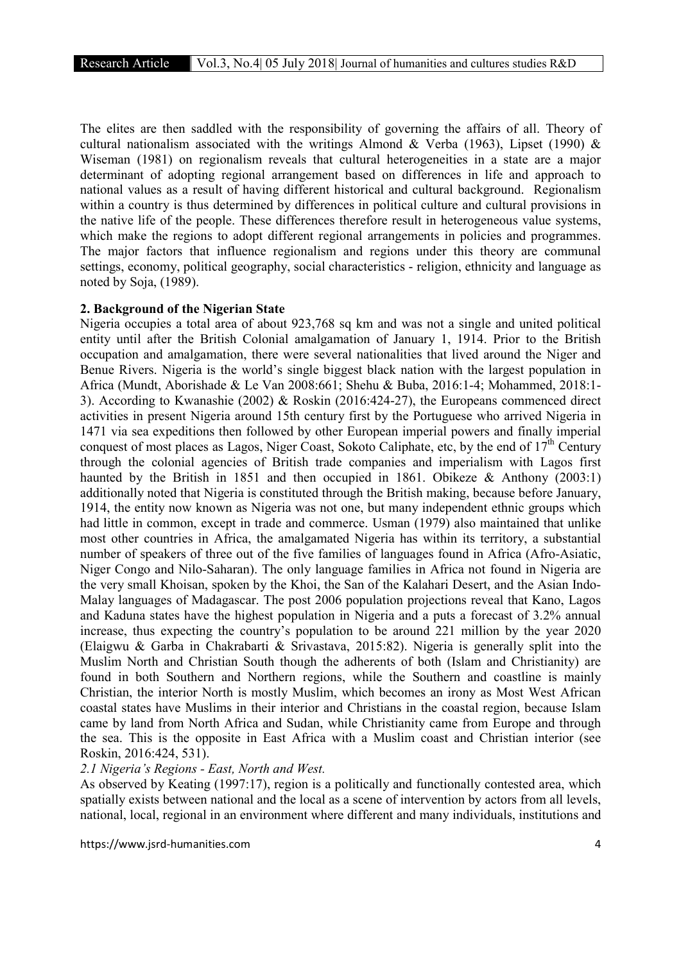The elites are then saddled with the responsibility of governing the affairs of all. Theory of cultural nationalism associated with the writings Almond & Verba (1963), Lipset (1990) & Wiseman (1981) on regionalism reveals that cultural heterogeneities in a state are a major determinant of adopting regional arrangement based on differences in life and approach to national values as a result of having different historical and cultural background. Regionalism within a country is thus determined by differences in political culture and cultural provisions in the native life of the people. These differences therefore result in heterogeneous value systems, which make the regions to adopt different regional arrangements in policies and programmes. The major factors that influence regionalism and regions under this theory are communal settings, economy, political geography, social characteristics - religion, ethnicity and language as noted by Soja, (1989).

#### 2. Background of the Nigerian State

Nigeria occupies a total area of about 923,768 sq km and was not a single and united political entity until after the British Colonial amalgamation of January 1, 1914. Prior to the British occupation and amalgamation, there were several nationalities that lived around the Niger and Benue Rivers. Nigeria is the world's single biggest black nation with the largest population in Africa (Mundt, Aborishade & Le Van 2008:661; Shehu & Buba, 2016:1-4; Mohammed, 2018:1- 3). According to Kwanashie (2002) & Roskin (2016:424-27), the Europeans commenced direct activities in present Nigeria around 15th century first by the Portuguese who arrived Nigeria in 1471 via sea expeditions then followed by other European imperial powers and finally imperial conquest of most places as Lagos, Niger Coast, Sokoto Caliphate, etc, by the end of  $17<sup>th</sup>$  Century through the colonial agencies of British trade companies and imperialism with Lagos first haunted by the British in 1851 and then occupied in 1861. Obikeze & Anthony (2003:1) additionally noted that Nigeria is constituted through the British making, because before January, 1914, the entity now known as Nigeria was not one, but many independent ethnic groups which had little in common, except in trade and commerce. Usman (1979) also maintained that unlike most other countries in Africa, the amalgamated Nigeria has within its territory, a substantial number of speakers of three out of the five families of languages found in Africa (Afro-Asiatic, Niger Congo and Nilo-Saharan). The only language families in Africa not found in Nigeria are the very small Khoisan, spoken by the Khoi, the San of the Kalahari Desert, and the Asian Indo-Malay languages of Madagascar. The post 2006 population projections reveal that Kano, Lagos and Kaduna states have the highest population in Nigeria and a puts a forecast of 3.2% annual increase, thus expecting the country's population to be around 221 million by the year 2020 (Elaigwu & Garba in Chakrabarti & Srivastava, 2015:82). Nigeria is generally split into the Muslim North and Christian South though the adherents of both (Islam and Christianity) are found in both Southern and Northern regions, while the Southern and coastline is mainly Christian, the interior North is mostly Muslim, which becomes an irony as Most West African coastal states have Muslims in their interior and Christians in the coastal region, because Islam came by land from North Africa and Sudan, while Christianity came from Europe and through the sea. This is the opposite in East Africa with a Muslim coast and Christian interior (see Roskin, 2016:424, 531).

## *2.1 Nigeria's Regions - East, North and West.*

As observed by Keating (1997:17), region is a politically and functionally contested area, which spatially exists between national and the local as a scene of intervention by actors from all levels, national, local, regional in an environment where different and many individuals, institutions and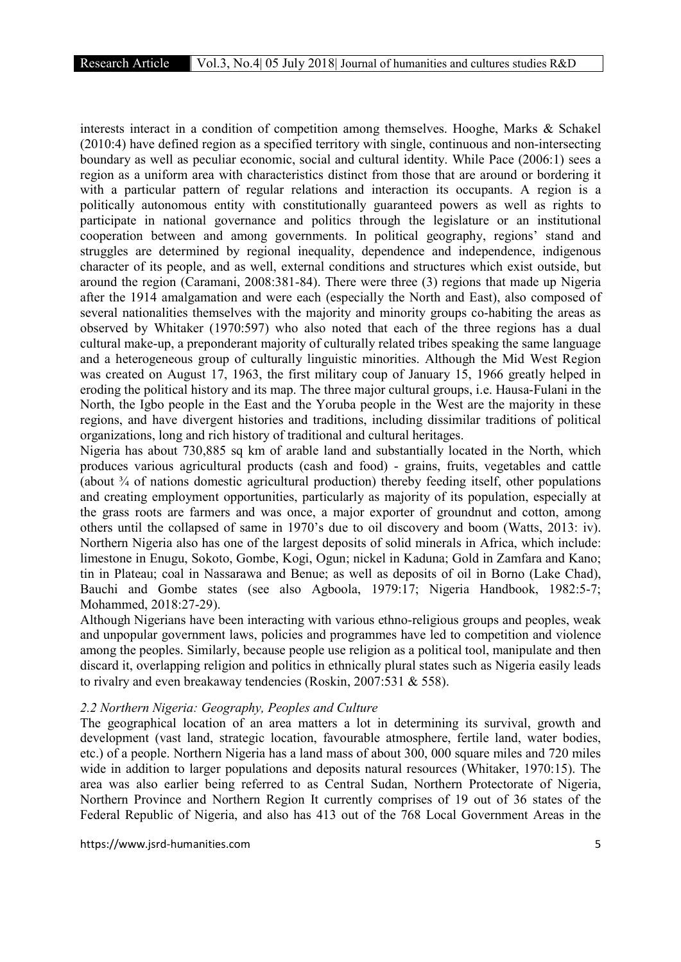interests interact in a condition of competition among themselves. Hooghe, Marks & Schakel (2010:4) have defined region as a specified territory with single, continuous and non-intersecting boundary as well as peculiar economic, social and cultural identity. While Pace (2006:1) sees a region as a uniform area with characteristics distinct from those that are around or bordering it with a particular pattern of regular relations and interaction its occupants. A region is a politically autonomous entity with constitutionally guaranteed powers as well as rights to participate in national governance and politics through the legislature or an institutional cooperation between and among governments. In political geography, regions' stand and struggles are determined by regional inequality, dependence and independence, indigenous character of its people, and as well, external conditions and structures which exist outside, but around the region (Caramani, 2008:381-84). There were three (3) regions that made up Nigeria after the 1914 amalgamation and were each (especially the North and East), also composed of several nationalities themselves with the majority and minority groups co-habiting the areas as observed by Whitaker (1970:597) who also noted that each of the three regions has a dual cultural make-up, a preponderant majority of culturally related tribes speaking the same language and a heterogeneous group of culturally linguistic minorities. Although the Mid West Region was created on August 17, 1963, the first military coup of January 15, 1966 greatly helped in eroding the political history and its map. The three major cultural groups, i.e. Hausa-Fulani in the North, the Igbo people in the East and the Yoruba people in the West are the majority in these regions, and have divergent histories and traditions, including dissimilar traditions of political organizations, long and rich history of traditional and cultural heritages.

Nigeria has about 730,885 sq km of arable land and substantially located in the North, which produces various agricultural products (cash and food) - grains, fruits, vegetables and cattle (about ¾ of nations domestic agricultural production) thereby feeding itself, other populations and creating employment opportunities, particularly as majority of its population, especially at the grass roots are farmers and was once, a major exporter of groundnut and cotton, among others until the collapsed of same in 1970's due to oil discovery and boom (Watts, 2013: iv). Northern Nigeria also has one of the largest deposits of solid minerals in Africa, which include: limestone in Enugu, Sokoto, Gombe, Kogi, Ogun; nickel in Kaduna; Gold in Zamfara and Kano; tin in Plateau; coal in Nassarawa and Benue; as well as deposits of oil in Borno (Lake Chad), Bauchi and Gombe states (see also Agboola, 1979:17; Nigeria Handbook, 1982:5-7; Mohammed, 2018:27-29).

Although Nigerians have been interacting with various ethno-religious groups and peoples, weak and unpopular government laws, policies and programmes have led to competition and violence among the peoples. Similarly, because people use religion as a political tool, manipulate and then discard it, overlapping religion and politics in ethnically plural states such as Nigeria easily leads to rivalry and even breakaway tendencies (Roskin, 2007:531 & 558).

#### *2.2 Northern Nigeria: Geography, Peoples and Culture*

The geographical location of an area matters a lot in determining its survival, growth and development (vast land, strategic location, favourable atmosphere, fertile land, water bodies, etc.) of a people. Northern Nigeria has a land mass of about 300, 000 square miles and 720 miles wide in addition to larger populations and deposits natural resources (Whitaker, 1970:15). The area was also earlier being referred to as Central Sudan, Northern Protectorate of Nigeria, Northern Province and Northern Region It currently comprises of 19 out of 36 states of the Federal Republic of Nigeria, and also has 413 out of the 768 Local Government Areas in the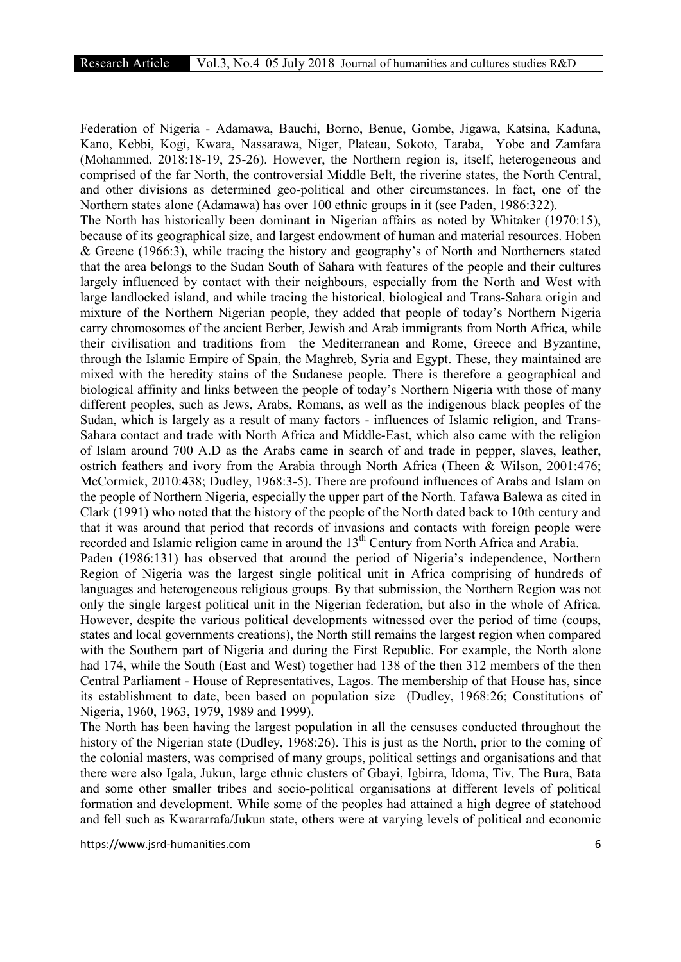Federation of Nigeria - Adamawa, Bauchi, Borno, Benue, Gombe, Jigawa, Katsina, Kaduna, Kano, Kebbi, Kogi, Kwara, Nassarawa, Niger, Plateau, Sokoto, Taraba, Yobe and Zamfara (Mohammed, 2018:18-19, 25-26). However, the Northern region is, itself, heterogeneous and comprised of the far North, the controversial Middle Belt, the riverine states, the North Central, and other divisions as determined geo-political and other circumstances. In fact, one of the Northern states alone (Adamawa) has over 100 ethnic groups in it (see Paden, 1986:322). The North has historically been dominant in Nigerian affairs as noted by Whitaker (1970:15), because of its geographical size, and largest endowment of human and material resources. Hoben & Greene (1966:3), while tracing the history and geography's of North and Northerners stated that the area belongs to the Sudan South of Sahara with features of the people and their cultures largely influenced by contact with their neighbours, especially from the North and West with large landlocked island, and while tracing the historical, biological and Trans-Sahara origin and mixture of the Northern Nigerian people, they added that people of today's Northern Nigeria carry chromosomes of the ancient Berber, Jewish and Arab immigrants from North Africa, while their civilisation and traditions from the Mediterranean and Rome, Greece and Byzantine, through the Islamic Empire of Spain, the Maghreb, Syria and Egypt. These, they maintained are mixed with the heredity stains of the Sudanese people. There is therefore a geographical and biological affinity and links between the people of today's Northern Nigeria with those of many different peoples, such as Jews, Arabs, Romans, as well as the indigenous black peoples of the Sudan, which is largely as a result of many factors - influences of Islamic religion, and Trans-Sahara contact and trade with North Africa and Middle-East, which also came with the religion of Islam around 700 A.D as the Arabs came in search of and trade in pepper, slaves, leather, ostrich feathers and ivory from the Arabia through North Africa (Theen & Wilson, 2001:476; McCormick, 2010:438; Dudley, 1968:3-5). There are profound influences of Arabs and Islam on the people of Northern Nigeria, especially the upper part of the North. Tafawa Balewa as cited in Clark (1991) who noted that the history of the people of the North dated back to 10th century and that it was around that period that records of invasions and contacts with foreign people were recorded and Islamic religion came in around the 13<sup>th</sup> Century from North Africa and Arabia. Paden (1986:131) has observed that around the period of Nigeria's independence, Northern Region of Nigeria was the largest single political unit in Africa comprising of hundreds of languages and heterogeneous religious groups*.* By that submission, the Northern Region was not only the single largest political unit in the Nigerian federation, but also in the whole of Africa. However, despite the various political developments witnessed over the period of time (coups, states and local governments creations), the North still remains the largest region when compared with the Southern part of Nigeria and during the First Republic. For example, the North alone had 174, while the South (East and West) together had 138 of the then 312 members of the then

Central Parliament - House of Representatives, Lagos. The membership of that House has, since its establishment to date, been based on population size (Dudley, 1968:26; Constitutions of Nigeria, 1960, 1963, 1979, 1989 and 1999).

The North has been having the largest population in all the censuses conducted throughout the history of the Nigerian state (Dudley, 1968:26). This is just as the North, prior to the coming of the colonial masters, was comprised of many groups, political settings and organisations and that there were also Igala, Jukun, large ethnic clusters of Gbayi, Igbirra, Idoma, Tiv, The Bura, Bata and some other smaller tribes and socio-political organisations at different levels of political formation and development. While some of the peoples had attained a high degree of statehood and fell such as Kwararrafa/Jukun state, others were at varying levels of political and economic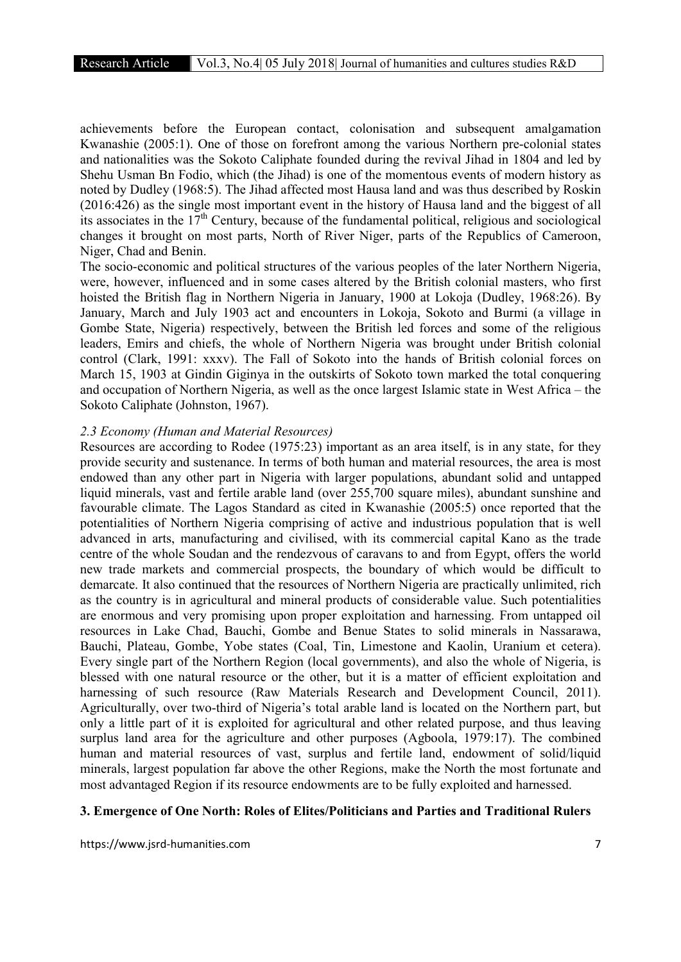achievements before the European contact, colonisation and subsequent amalgamation Kwanashie (2005:1). One of those on forefront among the various Northern pre-colonial states and nationalities was the Sokoto Caliphate founded during the revival Jihad in 1804 and led by Shehu Usman Bn Fodio, which (the Jihad) is one of the momentous events of modern history as noted by Dudley (1968:5). The Jihad affected most Hausa land and was thus described by Roskin (2016:426) as the single most important event in the history of Hausa land and the biggest of all its associates in the  $17<sup>th</sup>$  Century, because of the fundamental political, religious and sociological changes it brought on most parts, North of River Niger, parts of the Republics of Cameroon, Niger, Chad and Benin.

The socio-economic and political structures of the various peoples of the later Northern Nigeria, were, however, influenced and in some cases altered by the British colonial masters, who first hoisted the British flag in Northern Nigeria in January, 1900 at Lokoja (Dudley, 1968:26). By January, March and July 1903 act and encounters in Lokoja, Sokoto and Burmi (a village in Gombe State, Nigeria) respectively, between the British led forces and some of the religious leaders, Emirs and chiefs, the whole of Northern Nigeria was brought under British colonial control (Clark, 1991: xxxv). The Fall of Sokoto into the hands of British colonial forces on March 15, 1903 at Gindin Giginya in the outskirts of Sokoto town marked the total conquering and occupation of Northern Nigeria, as well as the once largest Islamic state in West Africa – the Sokoto Caliphate (Johnston, 1967).

#### *2.3 Economy (Human and Material Resources)*

Resources are according to Rodee (1975:23) important as an area itself, is in any state, for they provide security and sustenance. In terms of both human and material resources, the area is most endowed than any other part in Nigeria with larger populations, abundant solid and untapped liquid minerals, vast and fertile arable land (over 255,700 square miles), abundant sunshine and favourable climate. The Lagos Standard as cited in Kwanashie (2005:5) once reported that the potentialities of Northern Nigeria comprising of active and industrious population that is well advanced in arts, manufacturing and civilised, with its commercial capital Kano as the trade centre of the whole Soudan and the rendezvous of caravans to and from Egypt, offers the world new trade markets and commercial prospects, the boundary of which would be difficult to demarcate. It also continued that the resources of Northern Nigeria are practically unlimited, rich as the country is in agricultural and mineral products of considerable value. Such potentialities are enormous and very promising upon proper exploitation and harnessing. From untapped oil resources in Lake Chad, Bauchi, Gombe and Benue States to solid minerals in Nassarawa, Bauchi, Plateau, Gombe, Yobe states (Coal, Tin, Limestone and Kaolin, Uranium et cetera). Every single part of the Northern Region (local governments), and also the whole of Nigeria, is blessed with one natural resource or the other, but it is a matter of efficient exploitation and harnessing of such resource (Raw Materials Research and Development Council, 2011). Agriculturally, over two-third of Nigeria's total arable land is located on the Northern part, but only a little part of it is exploited for agricultural and other related purpose, and thus leaving surplus land area for the agriculture and other purposes (Agboola, 1979:17). The combined human and material resources of vast, surplus and fertile land, endowment of solid/liquid minerals, largest population far above the other Regions, make the North the most fortunate and most advantaged Region if its resource endowments are to be fully exploited and harnessed.

#### 3. Emergence of One North: Roles of Elites/Politicians and Parties and Traditional Rulers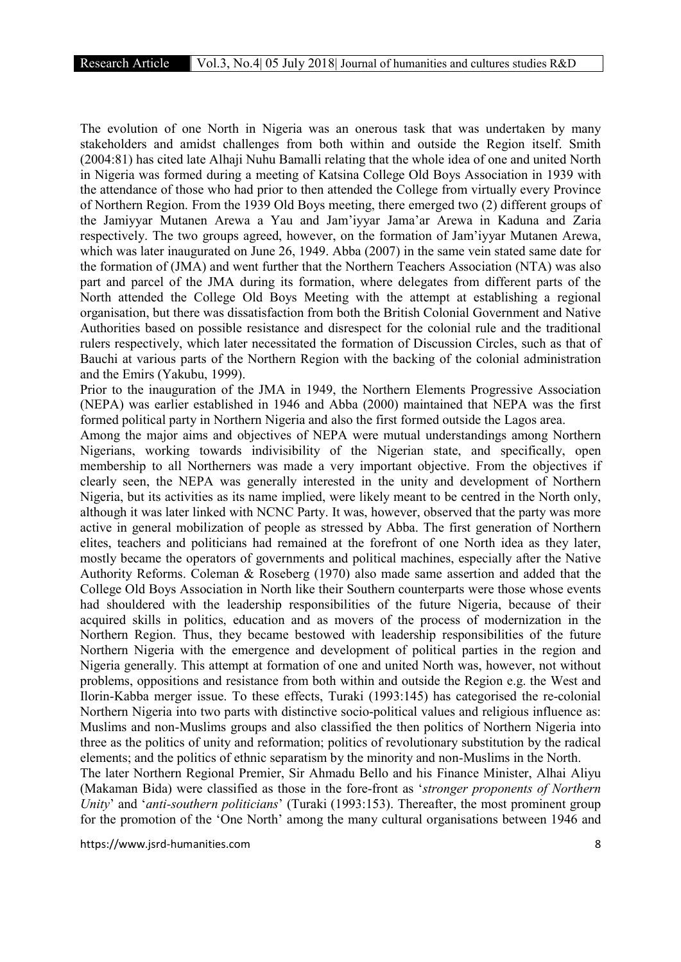The evolution of one North in Nigeria was an onerous task that was undertaken by many stakeholders and amidst challenges from both within and outside the Region itself. Smith (2004:81) has cited late Alhaji Nuhu Bamalli relating that the whole idea of one and united North in Nigeria was formed during a meeting of Katsina College Old Boys Association in 1939 with the attendance of those who had prior to then attended the College from virtually every Province of Northern Region. From the 1939 Old Boys meeting, there emerged two (2) different groups of the Jamiyyar Mutanen Arewa a Yau and Jam'iyyar Jama'ar Arewa in Kaduna and Zaria respectively. The two groups agreed, however, on the formation of Jam'iyyar Mutanen Arewa, which was later inaugurated on June 26, 1949. Abba (2007) in the same vein stated same date for the formation of (JMA) and went further that the Northern Teachers Association (NTA) was also part and parcel of the JMA during its formation, where delegates from different parts of the North attended the College Old Boys Meeting with the attempt at establishing a regional organisation, but there was dissatisfaction from both the British Colonial Government and Native Authorities based on possible resistance and disrespect for the colonial rule and the traditional rulers respectively, which later necessitated the formation of Discussion Circles, such as that of Bauchi at various parts of the Northern Region with the backing of the colonial administration and the Emirs (Yakubu, 1999).

Prior to the inauguration of the JMA in 1949, the Northern Elements Progressive Association (NEPA) was earlier established in 1946 and Abba (2000) maintained that NEPA was the first formed political party in Northern Nigeria and also the first formed outside the Lagos area.

Among the major aims and objectives of NEPA were mutual understandings among Northern Nigerians, working towards indivisibility of the Nigerian state, and specifically, open membership to all Northerners was made a very important objective. From the objectives if clearly seen, the NEPA was generally interested in the unity and development of Northern Nigeria, but its activities as its name implied, were likely meant to be centred in the North only, although it was later linked with NCNC Party. It was, however, observed that the party was more active in general mobilization of people as stressed by Abba. The first generation of Northern elites, teachers and politicians had remained at the forefront of one North idea as they later, mostly became the operators of governments and political machines, especially after the Native Authority Reforms. Coleman & Roseberg (1970) also made same assertion and added that the College Old Boys Association in North like their Southern counterparts were those whose events had shouldered with the leadership responsibilities of the future Nigeria, because of their acquired skills in politics, education and as movers of the process of modernization in the Northern Region. Thus, they became bestowed with leadership responsibilities of the future Northern Nigeria with the emergence and development of political parties in the region and Nigeria generally. This attempt at formation of one and united North was, however, not without problems, oppositions and resistance from both within and outside the Region e.g. the West and Ilorin-Kabba merger issue. To these effects, Turaki (1993:145) has categorised the re-colonial Northern Nigeria into two parts with distinctive socio-political values and religious influence as: Muslims and non-Muslims groups and also classified the then politics of Northern Nigeria into three as the politics of unity and reformation; politics of revolutionary substitution by the radical elements; and the politics of ethnic separatism by the minority and non-Muslims in the North.

The later Northern Regional Premier, Sir Ahmadu Bello and his Finance Minister, Alhai Aliyu (Makaman Bida) were classified as those in the fore-front as '*stronger proponents of Northern Unity*' and '*anti-southern politicians*' (Turaki (1993:153). Thereafter, the most prominent group for the promotion of the 'One North' among the many cultural organisations between 1946 and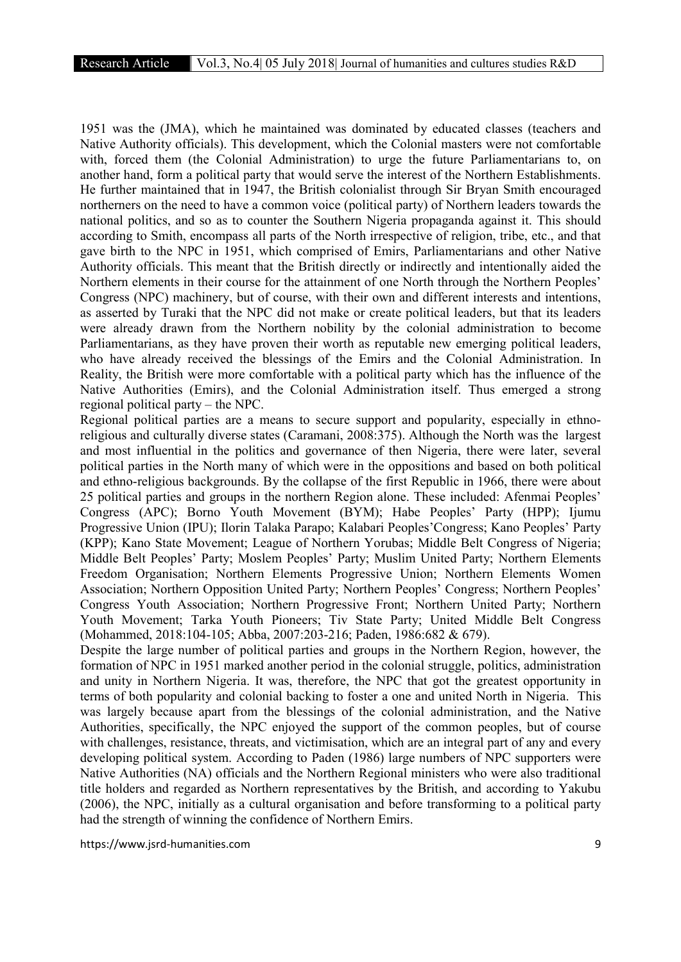1951 was the (JMA), which he maintained was dominated by educated classes (teachers and Native Authority officials). This development, which the Colonial masters were not comfortable with, forced them (the Colonial Administration) to urge the future Parliamentarians to, on another hand, form a political party that would serve the interest of the Northern Establishments. He further maintained that in 1947, the British colonialist through Sir Bryan Smith encouraged northerners on the need to have a common voice (political party) of Northern leaders towards the national politics, and so as to counter the Southern Nigeria propaganda against it. This should according to Smith, encompass all parts of the North irrespective of religion, tribe, etc., and that gave birth to the NPC in 1951, which comprised of Emirs, Parliamentarians and other Native Authority officials. This meant that the British directly or indirectly and intentionally aided the Northern elements in their course for the attainment of one North through the Northern Peoples' Congress (NPC) machinery, but of course, with their own and different interests and intentions, as asserted by Turaki that the NPC did not make or create political leaders, but that its leaders were already drawn from the Northern nobility by the colonial administration to become Parliamentarians, as they have proven their worth as reputable new emerging political leaders, who have already received the blessings of the Emirs and the Colonial Administration. In Reality, the British were more comfortable with a political party which has the influence of the Native Authorities (Emirs), and the Colonial Administration itself. Thus emerged a strong regional political party – the NPC.

Regional political parties are a means to secure support and popularity, especially in ethnoreligious and culturally diverse states (Caramani, 2008:375). Although the North was the largest and most influential in the politics and governance of then Nigeria, there were later, several political parties in the North many of which were in the oppositions and based on both political and ethno-religious backgrounds. By the collapse of the first Republic in 1966, there were about 25 political parties and groups in the northern Region alone. These included: Afenmai Peoples' Congress (APC); Borno Youth Movement (BYM); Habe Peoples' Party (HPP); Ijumu Progressive Union (IPU); Ilorin Talaka Parapo; Kalabari Peoples'Congress; Kano Peoples' Party (KPP); Kano State Movement; League of Northern Yorubas; Middle Belt Congress of Nigeria; Middle Belt Peoples' Party; Moslem Peoples' Party; Muslim United Party; Northern Elements Freedom Organisation; Northern Elements Progressive Union; Northern Elements Women Association; Northern Opposition United Party; Northern Peoples' Congress; Northern Peoples' Congress Youth Association; Northern Progressive Front; Northern United Party; Northern Youth Movement; Tarka Youth Pioneers; Tiv State Party; United Middle Belt Congress (Mohammed, 2018:104-105; Abba, 2007:203-216; Paden, 1986:682 & 679).

Despite the large number of political parties and groups in the Northern Region, however, the formation of NPC in 1951 marked another period in the colonial struggle, politics, administration and unity in Northern Nigeria. It was, therefore, the NPC that got the greatest opportunity in terms of both popularity and colonial backing to foster a one and united North in Nigeria. This was largely because apart from the blessings of the colonial administration, and the Native Authorities, specifically, the NPC enjoyed the support of the common peoples, but of course with challenges, resistance, threats, and victimisation, which are an integral part of any and every developing political system. According to Paden (1986) large numbers of NPC supporters were Native Authorities (NA) officials and the Northern Regional ministers who were also traditional title holders and regarded as Northern representatives by the British, and according to Yakubu (2006), the NPC, initially as a cultural organisation and before transforming to a political party had the strength of winning the confidence of Northern Emirs.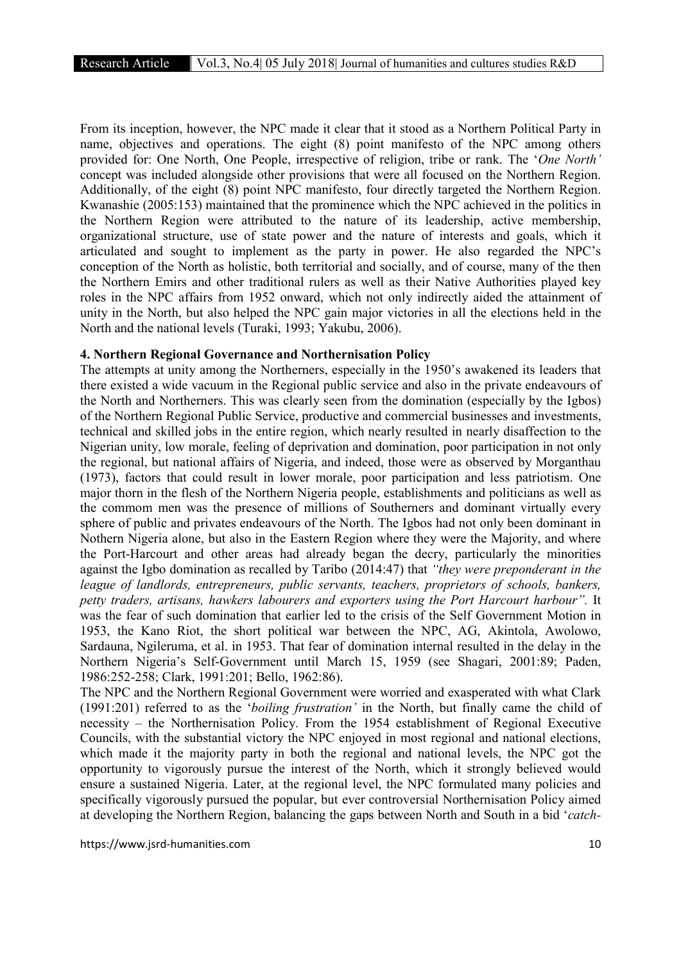From its inception, however, the NPC made it clear that it stood as a Northern Political Party in name, objectives and operations. The eight (8) point manifesto of the NPC among others provided for: One North, One People, irrespective of religion, tribe or rank. The '*One North'* concept was included alongside other provisions that were all focused on the Northern Region. Additionally, of the eight (8) point NPC manifesto, four directly targeted the Northern Region. Kwanashie (2005:153) maintained that the prominence which the NPC achieved in the politics in the Northern Region were attributed to the nature of its leadership, active membership, organizational structure, use of state power and the nature of interests and goals, which it articulated and sought to implement as the party in power. He also regarded the NPC's conception of the North as holistic, both territorial and socially, and of course, many of the then the Northern Emirs and other traditional rulers as well as their Native Authorities played key roles in the NPC affairs from 1952 onward, which not only indirectly aided the attainment of unity in the North, but also helped the NPC gain major victories in all the elections held in the North and the national levels (Turaki, 1993; Yakubu, 2006).

#### 4. Northern Regional Governance and Northernisation Policy

The attempts at unity among the Northerners, especially in the 1950's awakened its leaders that there existed a wide vacuum in the Regional public service and also in the private endeavours of the North and Northerners. This was clearly seen from the domination (especially by the Igbos) of the Northern Regional Public Service, productive and commercial businesses and investments, technical and skilled jobs in the entire region, which nearly resulted in nearly disaffection to the Nigerian unity, low morale, feeling of deprivation and domination, poor participation in not only the regional, but national affairs of Nigeria, and indeed, those were as observed by Morganthau (1973), factors that could result in lower morale, poor participation and less patriotism. One major thorn in the flesh of the Northern Nigeria people, establishments and politicians as well as the commom men was the presence of millions of Southerners and dominant virtually every sphere of public and privates endeavours of the North. The Igbos had not only been dominant in Nothern Nigeria alone, but also in the Eastern Region where they were the Majority, and where the Port-Harcourt and other areas had already began the decry, particularly the minorities against the Igbo domination as recalled by Taribo (2014:47) that *"they were preponderant in the league of landlords, entrepreneurs, public servants, teachers, proprietors of schools, bankers, petty traders, artisans, hawkers labourers and exporters using the Port Harcourt harbour".* It was the fear of such domination that earlier led to the crisis of the Self Government Motion in 1953, the Kano Riot, the short political war between the NPC, AG, Akintola, Awolowo, Sardauna, Ngileruma, et al. in 1953. That fear of domination internal resulted in the delay in the Northern Nigeria's Self-Government until March 15, 1959 (see Shagari, 2001:89; Paden, 1986:252-258; Clark, 1991:201; Bello, 1962:86).

The NPC and the Northern Regional Government were worried and exasperated with what Clark (1991:201) referred to as the '*boiling frustration'* in the North, but finally came the child of necessity – the Northernisation Policy. From the 1954 establishment of Regional Executive Councils, with the substantial victory the NPC enjoyed in most regional and national elections, which made it the majority party in both the regional and national levels, the NPC got the opportunity to vigorously pursue the interest of the North, which it strongly believed would ensure a sustained Nigeria. Later, at the regional level, the NPC formulated many policies and specifically vigorously pursued the popular, but ever controversial Northernisation Policy aimed at developing the Northern Region, balancing the gaps between North and South in a bid '*catch-*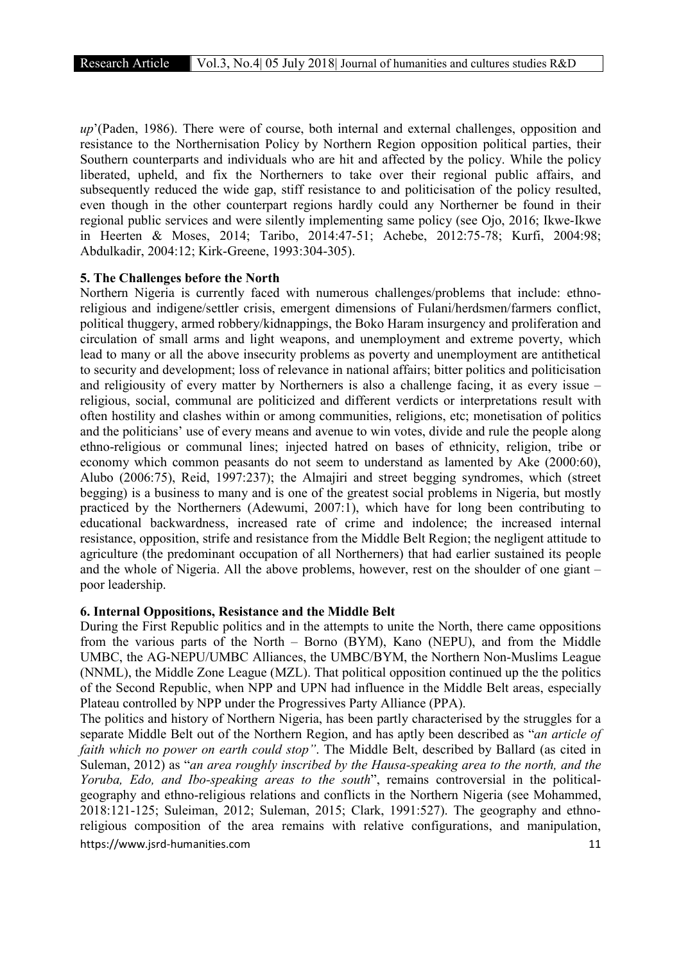*up*'(Paden, 1986). There were of course, both internal and external challenges, opposition and resistance to the Northernisation Policy by Northern Region opposition political parties, their Southern counterparts and individuals who are hit and affected by the policy. While the policy liberated, upheld, and fix the Northerners to take over their regional public affairs, and subsequently reduced the wide gap, stiff resistance to and politicisation of the policy resulted, even though in the other counterpart regions hardly could any Northerner be found in their regional public services and were silently implementing same policy (see Ojo, 2016; Ikwe-Ikwe in Heerten & Moses, 2014; Taribo, 2014:47-51; Achebe, 2012:75-78; Kurfi, 2004:98; Abdulkadir, 2004:12; Kirk-Greene, 1993:304-305).

#### 5. The Challenges before the North

Northern Nigeria is currently faced with numerous challenges/problems that include: ethnoreligious and indigene/settler crisis, emergent dimensions of Fulani/herdsmen/farmers conflict, political thuggery, armed robbery/kidnappings, the Boko Haram insurgency and proliferation and circulation of small arms and light weapons, and unemployment and extreme poverty, which lead to many or all the above insecurity problems as poverty and unemployment are antithetical to security and development; loss of relevance in national affairs; bitter politics and politicisation and religiousity of every matter by Northerners is also a challenge facing, it as every issue – religious, social, communal are politicized and different verdicts or interpretations result with often hostility and clashes within or among communities, religions, etc; monetisation of politics and the politicians' use of every means and avenue to win votes, divide and rule the people along ethno-religious or communal lines; injected hatred on bases of ethnicity, religion, tribe or economy which common peasants do not seem to understand as lamented by Ake (2000:60), Alubo (2006:75), Reid, 1997:237); the Almajiri and street begging syndromes, which (street begging) is a business to many and is one of the greatest social problems in Nigeria, but mostly practiced by the Northerners (Adewumi, 2007:1), which have for long been contributing to educational backwardness, increased rate of crime and indolence; the increased internal resistance, opposition, strife and resistance from the Middle Belt Region; the negligent attitude to agriculture (the predominant occupation of all Northerners) that had earlier sustained its people and the whole of Nigeria. All the above problems, however, rest on the shoulder of one giant – poor leadership.

#### 6. Internal Oppositions, Resistance and the Middle Belt

During the First Republic politics and in the attempts to unite the North, there came oppositions from the various parts of the North – Borno (BYM), Kano (NEPU), and from the Middle UMBC, the AG-NEPU/UMBC Alliances, the UMBC/BYM, the Northern Non-Muslims League (NNML), the Middle Zone League (MZL). That political opposition continued up the the politics of the Second Republic, when NPP and UPN had influence in the Middle Belt areas, especially Plateau controlled by NPP under the Progressives Party Alliance (PPA).

https://www.isrd-humanities.com 11 The politics and history of Northern Nigeria, has been partly characterised by the struggles for a separate Middle Belt out of the Northern Region, and has aptly been described as "*an article of faith which no power on earth could stop"*. The Middle Belt, described by Ballard (as cited in Suleman, 2012) as "*an area roughly inscribed by the Hausa-speaking area to the north, and the Yoruba, Edo, and Ibo-speaking areas to the south*", remains controversial in the politicalgeography and ethno-religious relations and conflicts in the Northern Nigeria (see Mohammed, 2018:121-125; Suleiman, 2012; Suleman, 2015; Clark, 1991:527). The geography and ethnoreligious composition of the area remains with relative configurations, and manipulation,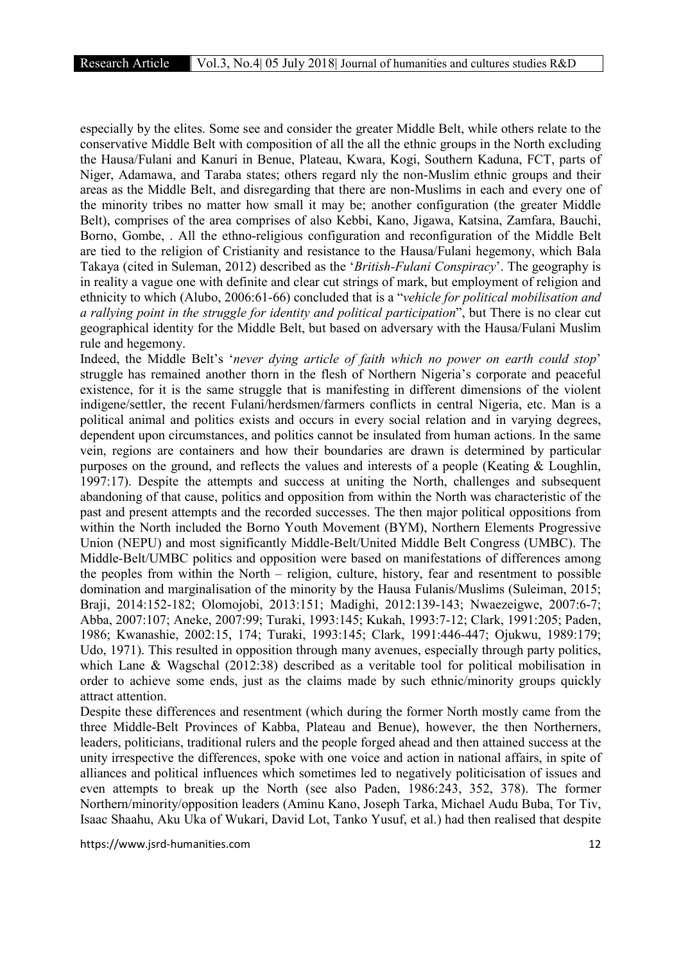especially by the elites. Some see and consider the greater Middle Belt, while others relate to the conservative Middle Belt with composition of all the all the ethnic groups in the North excluding the Hausa/Fulani and Kanuri in Benue, Plateau, Kwara, Kogi, Southern Kaduna, FCT, parts of Niger, Adamawa, and Taraba states; others regard nly the non-Muslim ethnic groups and their areas as the Middle Belt, and disregarding that there are non-Muslims in each and every one of the minority tribes no matter how small it may be; another configuration (the greater Middle Belt), comprises of the area comprises of also Kebbi, Kano, Jigawa, Katsina, Zamfara, Bauchi, Borno, Gombe, . All the ethno-religious configuration and reconfiguration of the Middle Belt are tied to the religion of Cristianity and resistance to the Hausa/Fulani hegemony, which Bala Takaya (cited in Suleman, 2012) described as the '*British-Fulani Conspiracy*'. The geography is in reality a vague one with definite and clear cut strings of mark, but employment of religion and ethnicity to which (Alubo, 2006:61-66) concluded that is a "*vehicle for political mobilisation and a rallying point in the struggle for identity and political participation*", but There is no clear cut geographical identity for the Middle Belt, but based on adversary with the Hausa/Fulani Muslim rule and hegemony.

Indeed, the Middle Belt's '*never dying article of faith which no power on earth could stop*' struggle has remained another thorn in the flesh of Northern Nigeria's corporate and peaceful existence, for it is the same struggle that is manifesting in different dimensions of the violent indigene/settler, the recent Fulani/herdsmen/farmers conflicts in central Nigeria, etc. Man is a political animal and politics exists and occurs in every social relation and in varying degrees, dependent upon circumstances, and politics cannot be insulated from human actions. In the same vein, regions are containers and how their boundaries are drawn is determined by particular purposes on the ground, and reflects the values and interests of a people (Keating & Loughlin, 1997:17). Despite the attempts and success at uniting the North, challenges and subsequent abandoning of that cause, politics and opposition from within the North was characteristic of the past and present attempts and the recorded successes. The then major political oppositions from within the North included the Borno Youth Movement (BYM), Northern Elements Progressive Union (NEPU) and most significantly Middle-Belt/United Middle Belt Congress (UMBC). The Middle-Belt/UMBC politics and opposition were based on manifestations of differences among the peoples from within the North – religion, culture, history, fear and resentment to possible domination and marginalisation of the minority by the Hausa Fulanis/Muslims (Suleiman, 2015; Braji, 2014:152-182; Olomojobi, 2013:151; Madighi, 2012:139-143; Nwaezeigwe, 2007:6-7; Abba, 2007:107; Aneke, 2007:99; Turaki, 1993:145; Kukah, 1993:7-12; Clark, 1991:205; Paden, 1986; Kwanashie, 2002:15, 174; Turaki, 1993:145; Clark, 1991:446-447; Ojukwu, 1989:179; Udo, 1971). This resulted in opposition through many avenues, especially through party politics, which Lane & Wagschal (2012:38) described as a veritable tool for political mobilisation in order to achieve some ends, just as the claims made by such ethnic/minority groups quickly attract attention.

Despite these differences and resentment (which during the former North mostly came from the three Middle-Belt Provinces of Kabba, Plateau and Benue), however, the then Northerners, leaders, politicians, traditional rulers and the people forged ahead and then attained success at the unity irrespective the differences, spoke with one voice and action in national affairs, in spite of alliances and political influences which sometimes led to negatively politicisation of issues and even attempts to break up the North (see also Paden, 1986:243, 352, 378). The former Northern/minority/opposition leaders (Aminu Kano, Joseph Tarka, Michael Audu Buba, Tor Tiv, Isaac Shaahu, Aku Uka of Wukari, David Lot, Tanko Yusuf, et al.) had then realised that despite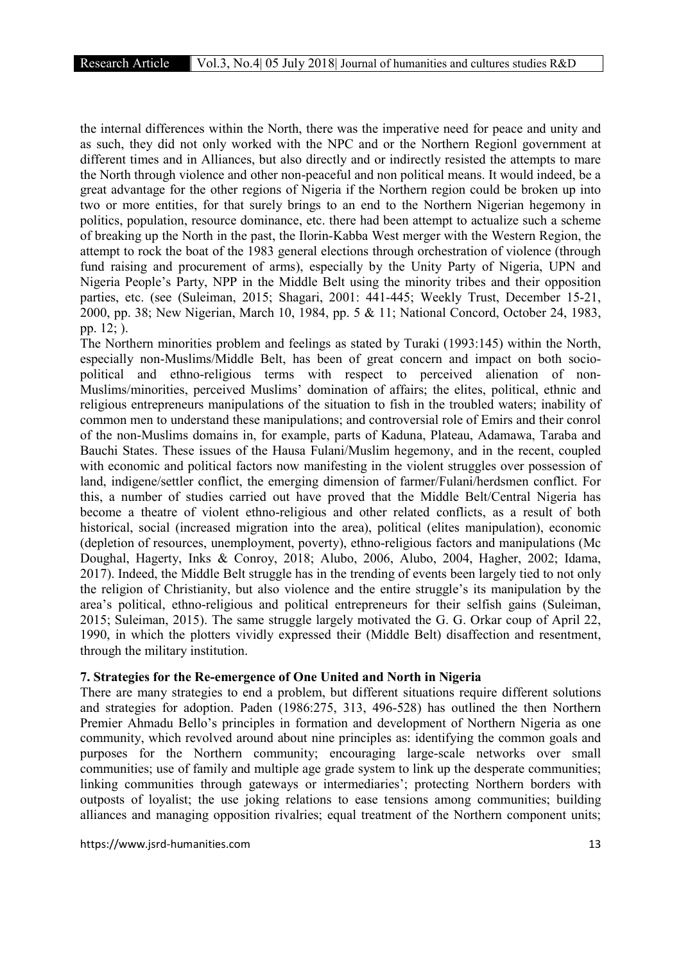the internal differences within the North, there was the imperative need for peace and unity and as such, they did not only worked with the NPC and or the Northern Regionl government at different times and in Alliances, but also directly and or indirectly resisted the attempts to mare the North through violence and other non-peaceful and non political means. It would indeed, be a great advantage for the other regions of Nigeria if the Northern region could be broken up into two or more entities, for that surely brings to an end to the Northern Nigerian hegemony in politics, population, resource dominance, etc. there had been attempt to actualize such a scheme of breaking up the North in the past, the Ilorin-Kabba West merger with the Western Region, the attempt to rock the boat of the 1983 general elections through orchestration of violence (through fund raising and procurement of arms), especially by the Unity Party of Nigeria, UPN and Nigeria People's Party, NPP in the Middle Belt using the minority tribes and their opposition parties, etc. (see (Suleiman, 2015; Shagari, 2001: 441-445; Weekly Trust, December 15-21, 2000, pp. 38; New Nigerian, March 10, 1984, pp. 5 & 11; National Concord, October 24, 1983, pp. 12; ).

The Northern minorities problem and feelings as stated by Turaki (1993:145) within the North, especially non-Muslims/Middle Belt, has been of great concern and impact on both sociopolitical and ethno-religious terms with respect to perceived alienation of non-Muslims/minorities, perceived Muslims' domination of affairs; the elites, political, ethnic and religious entrepreneurs manipulations of the situation to fish in the troubled waters; inability of common men to understand these manipulations; and controversial role of Emirs and their conrol of the non-Muslims domains in, for example, parts of Kaduna, Plateau, Adamawa, Taraba and Bauchi States. These issues of the Hausa Fulani/Muslim hegemony, and in the recent, coupled with economic and political factors now manifesting in the violent struggles over possession of land, indigene/settler conflict, the emerging dimension of farmer/Fulani/herdsmen conflict. For this, a number of studies carried out have proved that the Middle Belt/Central Nigeria has become a theatre of violent ethno-religious and other related conflicts, as a result of both historical, social (increased migration into the area), political (elites manipulation), economic (depletion of resources, unemployment, poverty), ethno-religious factors and manipulations (Mc Doughal, Hagerty, Inks & Conroy, 2018; Alubo, 2006, Alubo, 2004, Hagher, 2002; Idama, 2017). Indeed, the Middle Belt struggle has in the trending of events been largely tied to not only the religion of Christianity, but also violence and the entire struggle's its manipulation by the area's political, ethno-religious and political entrepreneurs for their selfish gains (Suleiman, 2015; Suleiman, 2015). The same struggle largely motivated the G. G. Orkar coup of April 22, 1990, in which the plotters vividly expressed their (Middle Belt) disaffection and resentment, through the military institution.

## 7. Strategies for the Re-emergence of One United and North in Nigeria

There are many strategies to end a problem, but different situations require different solutions and strategies for adoption. Paden (1986:275, 313, 496-528) has outlined the then Northern Premier Ahmadu Bello's principles in formation and development of Northern Nigeria as one community, which revolved around about nine principles as: identifying the common goals and purposes for the Northern community; encouraging large-scale networks over small communities; use of family and multiple age grade system to link up the desperate communities; linking communities through gateways or intermediaries'; protecting Northern borders with outposts of loyalist; the use joking relations to ease tensions among communities; building alliances and managing opposition rivalries; equal treatment of the Northern component units;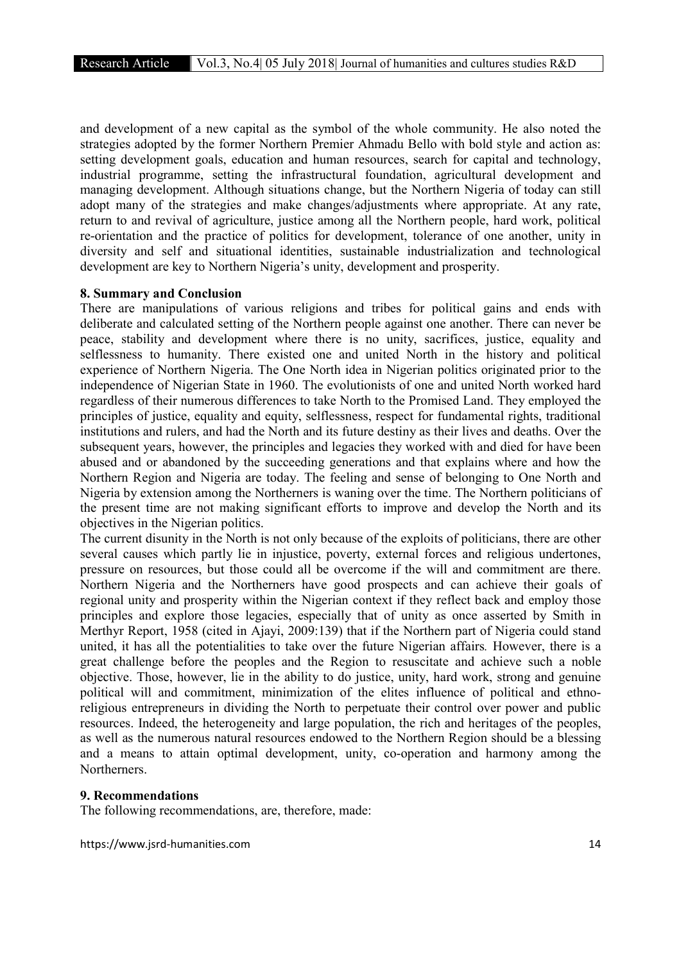and development of a new capital as the symbol of the whole community. He also noted the strategies adopted by the former Northern Premier Ahmadu Bello with bold style and action as: setting development goals, education and human resources, search for capital and technology, industrial programme, setting the infrastructural foundation, agricultural development and managing development. Although situations change, but the Northern Nigeria of today can still adopt many of the strategies and make changes/adjustments where appropriate. At any rate, return to and revival of agriculture, justice among all the Northern people, hard work, political re-orientation and the practice of politics for development, tolerance of one another, unity in diversity and self and situational identities, sustainable industrialization and technological development are key to Northern Nigeria's unity, development and prosperity.

#### 8. Summary and Conclusion

There are manipulations of various religions and tribes for political gains and ends with deliberate and calculated setting of the Northern people against one another. There can never be peace, stability and development where there is no unity, sacrifices, justice, equality and selflessness to humanity. There existed one and united North in the history and political experience of Northern Nigeria. The One North idea in Nigerian politics originated prior to the independence of Nigerian State in 1960. The evolutionists of one and united North worked hard regardless of their numerous differences to take North to the Promised Land. They employed the principles of justice, equality and equity, selflessness, respect for fundamental rights, traditional institutions and rulers, and had the North and its future destiny as their lives and deaths. Over the subsequent years, however, the principles and legacies they worked with and died for have been abused and or abandoned by the succeeding generations and that explains where and how the Northern Region and Nigeria are today. The feeling and sense of belonging to One North and Nigeria by extension among the Northerners is waning over the time. The Northern politicians of the present time are not making significant efforts to improve and develop the North and its objectives in the Nigerian politics.

The current disunity in the North is not only because of the exploits of politicians, there are other several causes which partly lie in injustice, poverty, external forces and religious undertones, pressure on resources, but those could all be overcome if the will and commitment are there. Northern Nigeria and the Northerners have good prospects and can achieve their goals of regional unity and prosperity within the Nigerian context if they reflect back and employ those principles and explore those legacies, especially that of unity as once asserted by Smith in Merthyr Report, 1958 (cited in Ajayi, 2009:139) that if the Northern part of Nigeria could stand united, it has all the potentialities to take over the future Nigerian affairs*.* However, there is a great challenge before the peoples and the Region to resuscitate and achieve such a noble objective. Those, however, lie in the ability to do justice, unity, hard work, strong and genuine political will and commitment, minimization of the elites influence of political and ethnoreligious entrepreneurs in dividing the North to perpetuate their control over power and public resources. Indeed, the heterogeneity and large population, the rich and heritages of the peoples, as well as the numerous natural resources endowed to the Northern Region should be a blessing and a means to attain optimal development, unity, co-operation and harmony among the Northerners.

#### 9. Recommendations

The following recommendations, are, therefore, made: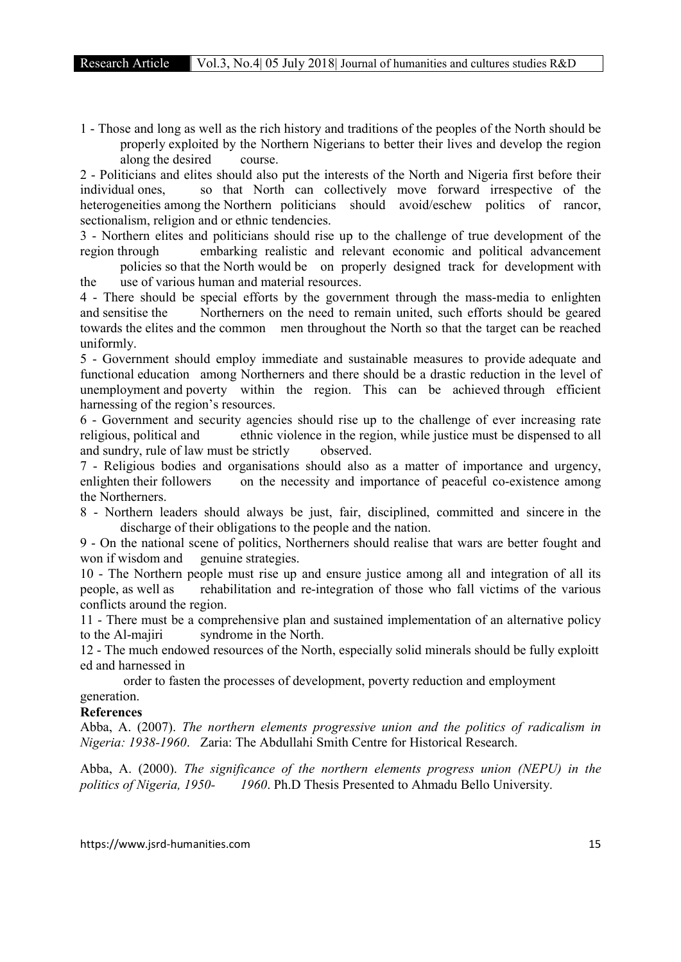1 - Those and long as well as the rich history and traditions of the peoples of the North should be properly exploited by the Northern Nigerians to better their lives and develop the region along the desired course.

2 - Politicians and elites should also put the interests of the North and Nigeria first before their individual ones, so that North can collectively move forward irrespective of the heterogeneities among the Northern politicians should avoid/eschew politics of rancor, sectionalism, religion and or ethnic tendencies.

3 - Northern elites and politicians should rise up to the challenge of true development of the region through embarking realistic and relevant economic and political advancement policies so that the North would be on properly designed track for development with

the use of various human and material resources.

4 - There should be special efforts by the government through the mass-media to enlighten and sensitise the Northerners on the need to remain united, such efforts should be geared towards the elites and the common men throughout the North so that the target can be reached uniformly.

5 - Government should employ immediate and sustainable measures to provide adequate and functional education among Northerners and there should be a drastic reduction in the level of unemployment and poverty within the region. This can be achieved through efficient harnessing of the region's resources.

6 - Government and security agencies should rise up to the challenge of ever increasing rate religious, political and ethnic violence in the region, while justice must be dispensed to all and sundry, rule of law must be strictly observed.

7 - Religious bodies and organisations should also as a matter of importance and urgency, enlighten their followers on the necessity and importance of peaceful co-existence among the Northerners.

8 - Northern leaders should always be just, fair, disciplined, committed and sincere in the discharge of their obligations to the people and the nation.

9 - On the national scene of politics, Northerners should realise that wars are better fought and won if wisdom and genuine strategies.

10 - The Northern people must rise up and ensure justice among all and integration of all its people, as well as rehabilitation and re-integration of those who fall victims of the various conflicts around the region.

11 - There must be a comprehensive plan and sustained implementation of an alternative policy to the Al-majiri syndrome in the North.

12 - The much endowed resources of the North, especially solid minerals should be fully exploitt ed and harnessed in

order to fasten the processes of development, poverty reduction and employment

## generation.

## References

Abba, A. (2007). *The northern elements progressive union and the politics of radicalism in Nigeria: 1938-1960*. Zaria: The Abdullahi Smith Centre for Historical Research.

Abba, A. (2000). *The significance of the northern elements progress union (NEPU) in the politics of Nigeria, 1950- 1960*. Ph.D Thesis Presented to Ahmadu Bello University.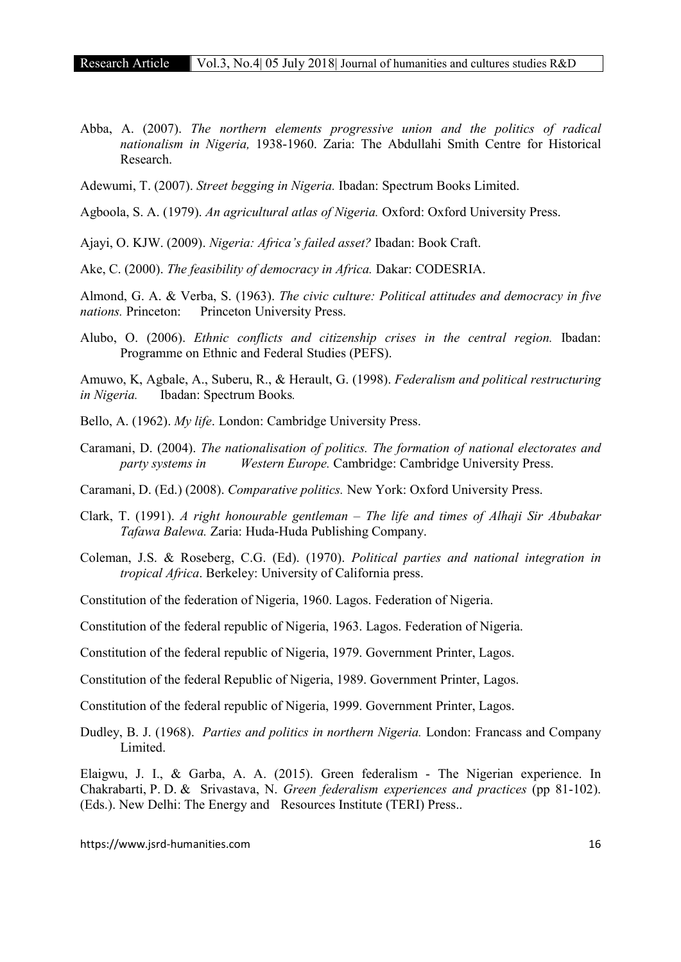Abba, A. (2007). *The northern elements progressive union and the politics of radical nationalism in Nigeria,* 1938-1960. Zaria: The Abdullahi Smith Centre for Historical Research.

Adewumi, T. (2007). *Street begging in Nigeria.* Ibadan: Spectrum Books Limited.

Agboola, S. A. (1979). *An agricultural atlas of Nigeria.* Oxford: Oxford University Press.

Ajayi, O. KJW. (2009). *Nigeria: Africa's failed asset?* Ibadan: Book Craft.

Ake, C. (2000). *The feasibility of democracy in Africa.* Dakar: CODESRIA.

Almond, G. A. & Verba, S. (1963). *The civic culture: Political attitudes and democracy in five nations.* Princeton: Princeton University Press.

Alubo, O. (2006). *Ethnic conflicts and citizenship crises in the central region.* Ibadan: Programme on Ethnic and Federal Studies (PEFS).

Amuwo, K, Agbale, A., Suberu, R., & Herault, G. (1998). *Federalism and political restructuring in Nigeria.* Ibadan: Spectrum Books*.* 

- Bello, A. (1962). *My life*. London: Cambridge University Press.
- Caramani, D. (2004). *The nationalisation of politics. The formation of national electorates and party systems in Western Europe.* Cambridge: Cambridge University Press.

Caramani, D. (Ed.) (2008). *Comparative politics.* New York: Oxford University Press.

- Clark, T. (1991). *A right honourable gentleman – The life and times of Alhaji Sir Abubakar Tafawa Balewa.* Zaria: Huda-Huda Publishing Company.
- Coleman, J.S. & Roseberg, C.G. (Ed). (1970). *Political parties and national integration in tropical Africa*. Berkeley: University of California press.
- Constitution of the federation of Nigeria, 1960. Lagos. Federation of Nigeria.

Constitution of the federal republic of Nigeria, 1963. Lagos. Federation of Nigeria.

Constitution of the federal republic of Nigeria, 1979. Government Printer, Lagos.

Constitution of the federal Republic of Nigeria, 1989. Government Printer, Lagos.

Constitution of the federal republic of Nigeria, 1999. Government Printer, Lagos.

Dudley, B. J. (1968). *Parties and politics in northern Nigeria.* London: Francass and Company Limited.

Elaigwu, J. I., & Garba, A. A. (2015). Green federalism - The Nigerian experience. In Chakrabarti, P. D. & Srivastava, N. *Green federalism experiences and practices* (pp 81-102). (Eds.). New Delhi: The Energy and Resources Institute (TERI) Press..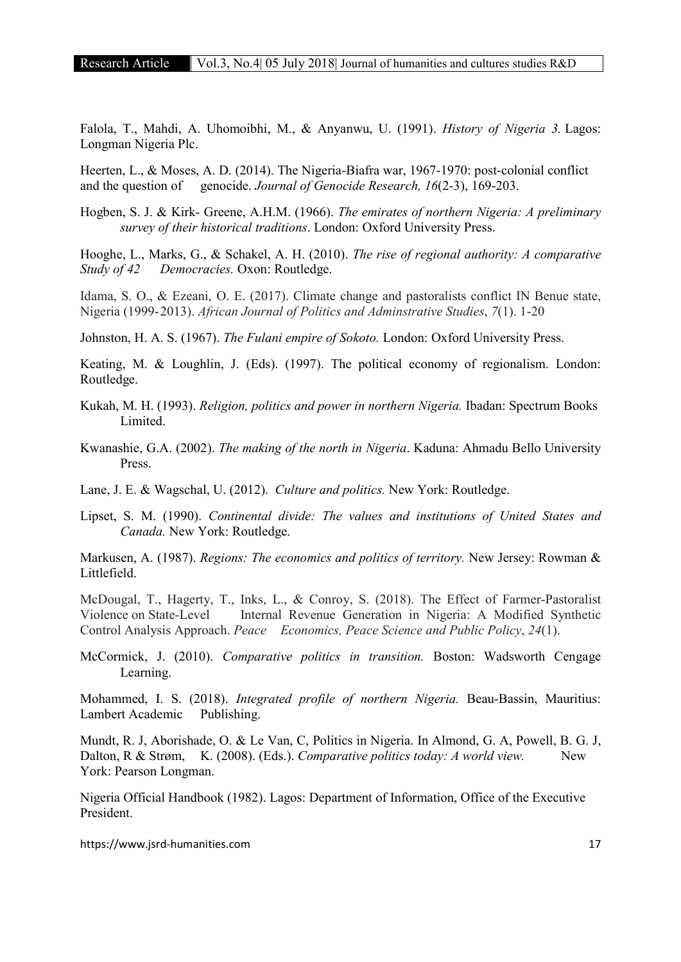Falola, T., Mahdi, A. Uhomoibhi, M., & Anyanwu, U. (1991). *History of Nigeria 3.* Lagos: Longman Nigeria Plc.

Heerten, L., & Moses, A. D. (2014). The Nigeria-Biafra war, 1967-1970: post-colonial conflict and the question of genocide. *Journal of Genocide Research, 16*(2-3), 169-203.

Hogben, S. J. & Kirk- Greene, A.H.M. (1966). *The emirates of northern Nigeria: A preliminary survey of their historical traditions*. London: Oxford University Press.

Hooghe, L., Marks, G., & Schakel, A. H. (2010). *The rise of regional authority: A comparative Study of 42 Democracies.* Oxon: Routledge.

Idama, S. O., & Ezeani, O. E. (2017). Climate change and pastoralists conflict IN Benue state, Nigeria (1999-2013). *African Journal of Politics and Adminstrative Studies*, *7*(1). 1-20

Johnston, H. A. S. (1967). *The Fulani empire of Sokoto.* London: Oxford University Press.

Keating, M. & Loughlin, J. (Eds). (1997). The political economy of regionalism. London: Routledge.

- Kukah, M. H. (1993). *Religion, politics and power in northern Nigeria.* Ibadan: Spectrum Books Limited.
- Kwanashie, G.A. (2002). *The making of the north in Nigeria*. Kaduna: Ahmadu Bello University Press.

Lane, J. E. & Wagschal, U. (2012). *Culture and politics.* New York: Routledge.

Lipset, S. M. (1990). *Continental divide: The values and institutions of United States and Canada.* New York: Routledge.

Markusen, A. (1987). *Regions: The economics and politics of territory.* New Jersey: Rowman & Littlefield.

McDougal, T., Hagerty, T., Inks, L., & Conroy, S. (2018). The Effect of Farmer-Pastoralist Violence on State-Level Internal Revenue Generation in Nigeria: A Modified Synthetic Control Analysis Approach. *Peace Economics, Peace Science and Public Policy*, *24*(1).

McCormick, J. (2010). *Comparative politics in transition.* Boston: Wadsworth Cengage Learning.

Mohammed, I. S. (2018). *Integrated profile of northern Nigeria.* Beau-Bassin, Mauritius: Lambert Academic Publishing.

Mundt, R. J, Aborishade, O. & Le Van, C, Politics in Nigeria. In Almond, G. A, Powell, B. G. J, Dalton, R & Strøm, K. (2008). (Eds.). *Comparative politics today: A world view*. New York: Pearson Longman.

Nigeria Official Handbook (1982). Lagos: Department of Information, Office of the Executive President.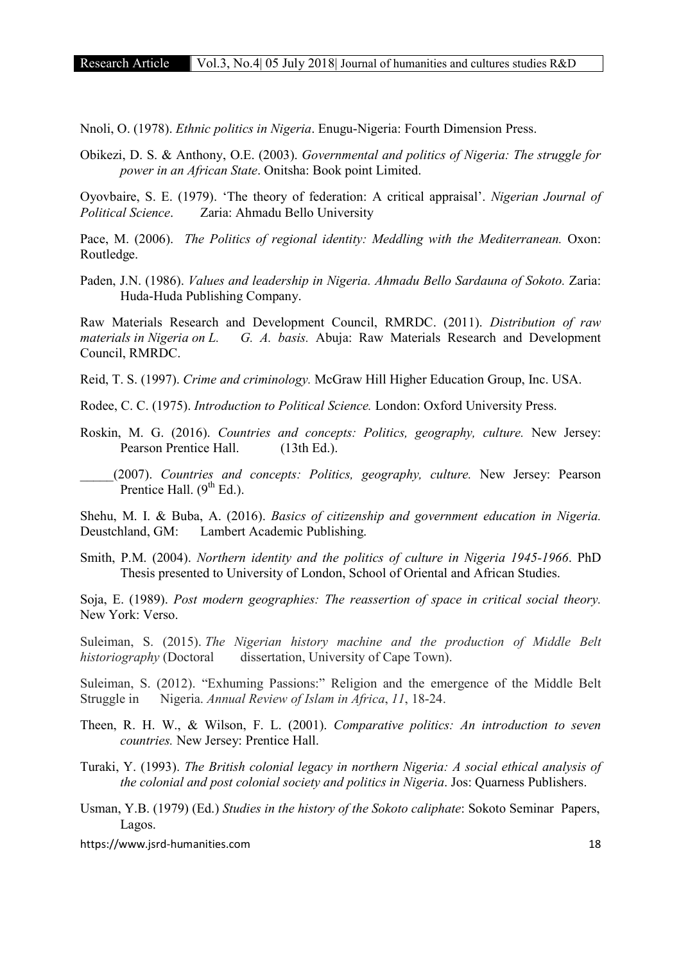Nnoli, O. (1978). *Ethnic politics in Nigeria*. Enugu-Nigeria: Fourth Dimension Press.

Obikezi, D. S. & Anthony, O.E. (2003). *Governmental and politics of Nigeria: The struggle for power in an African State*. Onitsha: Book point Limited.

Oyovbaire, S. E. (1979). 'The theory of federation: A critical appraisal'. *Nigerian Journal of Political Science*. Zaria: Ahmadu Bello University

Pace, M. (2006). *The Politics of regional identity: Meddling with the Mediterranean.* Oxon: Routledge.

Paden, J.N. (1986). *Values and leadership in Nigeria. Ahmadu Bello Sardauna of Sokoto. Zaria:* Huda-Huda Publishing Company.

Raw Materials Research and Development Council, RMRDC. (2011). *Distribution of raw materials in Nigeria on L. G. A. basis.* Abuja: Raw Materials Research and Development Council, RMRDC.

Reid, T. S. (1997). *Crime and criminology.* McGraw Hill Higher Education Group, Inc. USA.

Rodee, C. C. (1975). *Introduction to Political Science.* London: Oxford University Press.

Roskin, M. G. (2016). *Countries and concepts: Politics, geography, culture.* New Jersey: Pearson Prentice Hall. (13th Ed.).

\_\_\_\_\_(2007). *Countries and concepts: Politics, geography, culture.* New Jersey: Pearson Prentice Hall.  $(9<sup>th</sup> Ed.)$ .

Shehu, M. I. & Buba, A. (2016). *Basics of citizenship and government education in Nigeria.*  Deustchland, GM: Lambert Academic Publishing.

Smith, P.M. (2004). *Northern identity and the politics of culture in Nigeria 1945-1966*. PhD Thesis presented to University of London, School of Oriental and African Studies.

Soja, E. (1989). *Post modern geographies: The reassertion of space in critical social theory.*  New York: Verso.

Suleiman, S. (2015). *The Nigerian history machine and the production of Middle Belt historiography* (Doctoral dissertation, University of Cape Town).

Suleiman, S. (2012). "Exhuming Passions:" Religion and the emergence of the Middle Belt Struggle in Nigeria. *Annual Review of Islam in Africa*, *11*, 18-24.

Theen, R. H. W., & Wilson, F. L. (2001). *Comparative politics: An introduction to seven countries.* New Jersey: Prentice Hall.

Turaki, Y. (1993). *The British colonial legacy in northern Nigeria: A social ethical analysis of the colonial and post colonial society and politics in Nigeria*. Jos: Quarness Publishers.

Usman, Y.B. (1979) (Ed.) *Studies in the history of the Sokoto caliphate*: Sokoto Seminar Papers, Lagos.